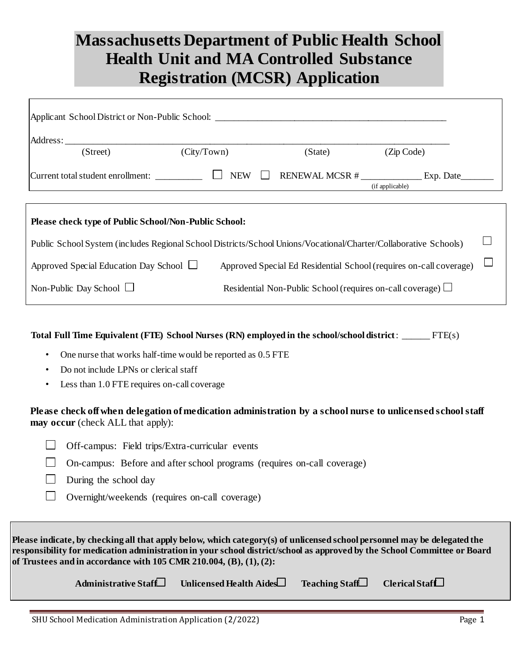## **Massachusetts Department of Public Health School Health Unit and MA Controlled Substance Registration (MCSR) Application**

| Applicant School District or Non-Public School: _________________________________                                |                            |                                                                  |                                                                    |  |
|------------------------------------------------------------------------------------------------------------------|----------------------------|------------------------------------------------------------------|--------------------------------------------------------------------|--|
| Address:                                                                                                         |                            |                                                                  |                                                                    |  |
| (Street)                                                                                                         | (City/Town)                | (State)                                                          | (Zip Code)                                                         |  |
| Current total student enrollment:                                                                                | <b>NEW</b><br>$\mathbf{I}$ | RENEWAL MCSR #                                                   | Exp. Date<br>(if applicable)                                       |  |
|                                                                                                                  |                            |                                                                  |                                                                    |  |
| Please check type of Public School/Non-Public School:                                                            |                            |                                                                  |                                                                    |  |
| Public School System (includes Regional School Districts/School Unions/Vocational/Charter/Collaborative Schools) |                            |                                                                  |                                                                    |  |
| Approved Special Education Day School $\Box$                                                                     |                            |                                                                  | Approved Special Ed Residential School (requires on-call coverage) |  |
| Non-Public Day School $\Box$                                                                                     |                            | Residential Non-Public School (requires on-call coverage) $\Box$ |                                                                    |  |

**Total Full Time Equivalent (FTE) School Nurses (RN) employed in the school/school district**: \_\_\_\_\_\_ FTE(s)

- One nurse that works half-time would be reported as 0.5 FTE
- Do not include LPNs or clerical staff
- Less than 1.0 FTE requires on-call coverage

**Please check off when delegation of medication administration by a school nurse to unlicensed school staff may occur** (check ALL that apply):

- $\Box$  Off-campus: Field trips/Extra-curricular events
- $\Box$  On-campus: Before and after school programs (requires on-call coverage)
- $\Box$  During the school day
- $\Box$ Overnight/weekends (requires on-call coverage)

**Please indicate, by checking all that apply below, which category(s) of unlicensed school personnel may be delegated the responsibility for medication administration in your school district/school as approved by the School Committee or Board of Trustees and in accordance with 105 CMR 210.004, (B), (1), (2):** 

| Administrative Staff Unlicensed Health Aides | Teaching Staff Clerical Staff |  |
|----------------------------------------------|-------------------------------|--|
|                                              |                               |  |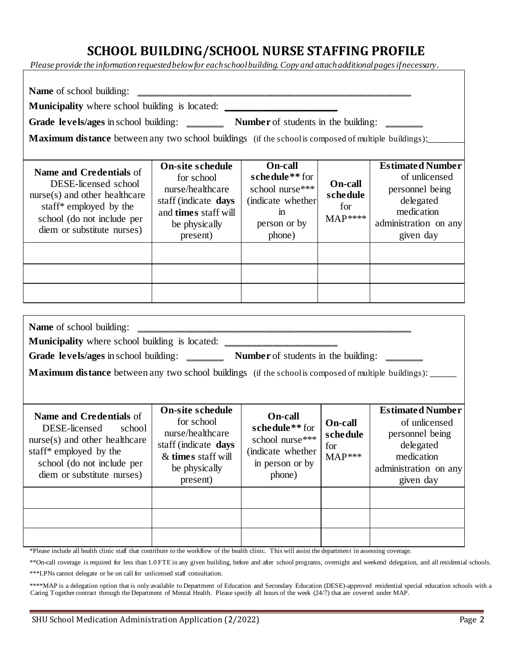#### **SCHOOL BUILDING/SCHOOL NURSE STAFFING PROFILE**

*Please provide the information requested below for each school building. Copy and attach additional pages if necessary*.

| Municipality where school building is located: _________________________________<br>Grade levels/ages in school building: ________ Number of students in the building: ______                                                                                                                                                                |                                                                                                                                        |                                                                                                                                  |                                                         |                                                                                                                              |
|----------------------------------------------------------------------------------------------------------------------------------------------------------------------------------------------------------------------------------------------------------------------------------------------------------------------------------------------|----------------------------------------------------------------------------------------------------------------------------------------|----------------------------------------------------------------------------------------------------------------------------------|---------------------------------------------------------|------------------------------------------------------------------------------------------------------------------------------|
| <b>Maximum distance</b> between any two school buildings (if the school is composed of multiple buildings):_____                                                                                                                                                                                                                             |                                                                                                                                        |                                                                                                                                  |                                                         |                                                                                                                              |
| <b>Name and Credentials of</b><br>DESE-licensed school<br>nurse(s) and other healthcare<br>staff* employed by the<br>school (do not include per<br>diem or substitute nurses)                                                                                                                                                                | <b>On-site schedule</b><br>for school<br>nurse/healthcare<br>staff (indicate days<br>and times staff will<br>be physically<br>present) | <b>On-call</b><br>schedule <sup>**</sup> for<br>school nurse***<br>(indicate whether<br>$\overline{m}$<br>person or by<br>phone) | <b>On-call</b><br>schedule<br>for<br>$MAP***$           | <b>Estimated Number</b><br>of unlicensed<br>personnel being<br>delegated<br>medication<br>administration on any<br>given day |
|                                                                                                                                                                                                                                                                                                                                              |                                                                                                                                        |                                                                                                                                  |                                                         |                                                                                                                              |
| <b>Name</b> of school building:<br><b>Municipality</b> where school building is located: ________________________________<br>Grade levels/ages in school building: ________ Number of students in the building: _______<br><b>Maximum distance</b> between any two school buildings (if the school is composed of multiple buildings): _____ |                                                                                                                                        |                                                                                                                                  |                                                         |                                                                                                                              |
| Name and Credentials of<br>DESE-licensed<br>school<br>nurse(s) and other healthcare<br>staff* employed by the<br>school (do not include per<br>diem or substitute nurses)                                                                                                                                                                    | <b>On-site schedule</b><br>for school<br>nurse/healthcare<br>staff (indicate days<br>& times staff will<br>be physically<br>present)   | <b>On-call</b><br>schedule** for<br>school nurse***<br>(indicate whether<br>in person or by<br>phone)                            | <b>On-call</b><br>schedule<br>for<br>$\text{MAP}^{***}$ | <b>Estimated Number</b><br>of unlicensed<br>personnel being<br>delegated<br>medication<br>administration on any<br>given day |

\*\*\*\*MAP is a delegation option that is only available to Department of Education and Secondary Education (DESE)-approved residential special education schools with a Caring Together contract through the Department of Mental Health. Please specify all hours of the week (24/7) that are covered under MAP.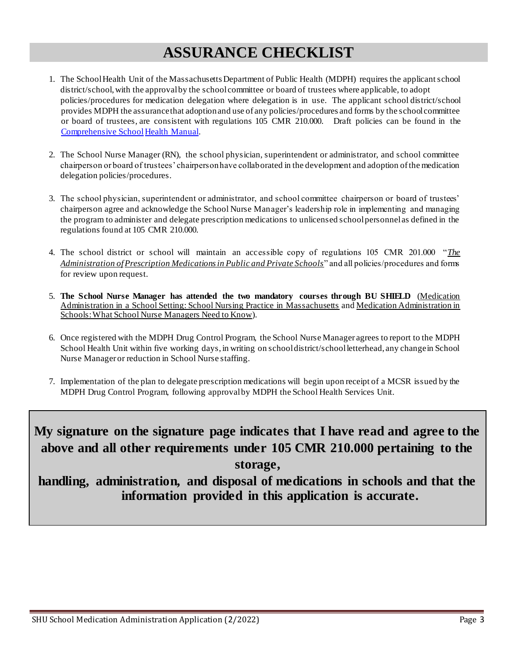## **ASSURANCE CHECKLIST**

- 1. The School Health Unit of the Massachusetts Department of Public Health (MDPH) requires the applicant school district/school, with the approval by the school committee or board of trustees where applicable, to adopt policies/procedures for medication delegation where delegation is in use. The applicant school district/school provides MDPH the assurance that adoption and use of any policies/procedures and forms by the school committee or board of trustees, are consistent with regulations 105 CMR 210.000. Draft policies can be found in t[he](https://www.mass.gov/doc/comprehensive-school-health-manual/download)  Comprehensive School Health Manual.
- 2. The School Nurse Manager (RN), the school physician, superintendent or administrator, and school committee chairperson or board of trustees' chairperson have collaborated in the development and adoption of the medication delegation policies/procedures.
- 3. The school physician, superintendent or administrator, and school committee chairperson or board of trustees' chairperson agree and acknowledge the School Nurse Manager's leadership role in implementing and managing the program to administer and delegate prescription medications to unlicensed school personnel as defined in the regulations found at 105 CMR 210.000.
- 4. The school district or school will maintain an accessible copy of regulations 105 CMR 201.000 "*The Administration ofPrescription Medications in Public and Private Schools*" and all policies/procedures and forms for review upon request.
- 5. **The School Nurse Manager has attended the two mandatory courses through BU SHIELD** (Medication Administration in a School Setting: School Nursing Practice in Massachusetts and Medication Administration in Schools: What School Nurse Managers Need to Know).
- 6. Once registered with the MDPH Drug Control Program, the School Nurse Manager agrees to report to the MDPH School Health Unit within five working days, in writing on school district/school letterhead, any change in School Nurse Manager or reduction in School Nurse staffing.
- 7. Implementation of the plan to delegate prescription medications will begin upon receipt of a MCSR issued by the MDPH Drug Control Program, following approval by MDPH the School Health Services Unit.

#### **My signature on the signature page indicates that I have read and agree to the above and all other requirements under 105 CMR 210.000 pertaining to the storage,**

**handling, administration, and disposal of medications in schools and that the information provided in this application is accurate.**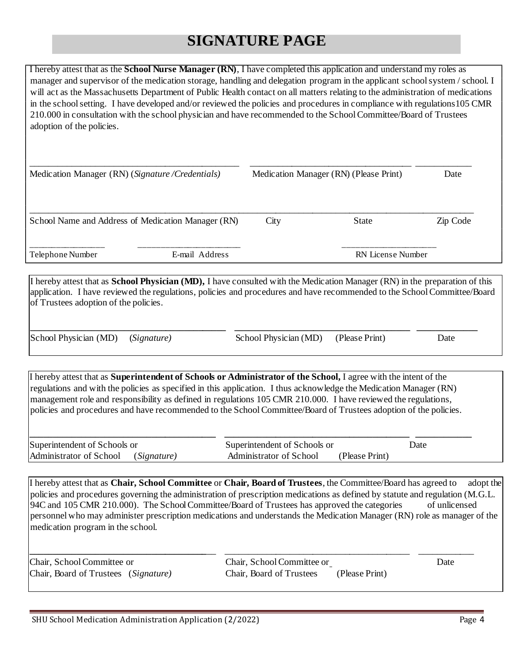## **SIGNATURE PAGE**

I hereby attest that as the **School Nurse Manager (RN)**, I have completed this application and understand my roles as manager and supervisor of the medication storage, handling and delegation program in the applicant school system / school. I will act as the Massachusetts Department of Public Health contact on all matters relating to the administration of medications in the school setting. I have developed and/or reviewed the policies and procedures in compliance with regulations105 CMR 210.000 in consultation with the school physician and have recommended to the School Committee/Board of Trustees adoption of the policies.

| Medication Manager (RN) (Signature/Credentials)    |                |      | Medication Manager (RN) (Please Print) | Date     |
|----------------------------------------------------|----------------|------|----------------------------------------|----------|
| School Name and Address of Medication Manager (RN) |                | City | State                                  | Zip Code |
| Telephone Number                                   | E-mail Address |      | <b>RN</b> License Number               |          |

I hereby attest that as **School Physician (MD),** I have consulted with the Medication Manager (RN) in the preparation of this application. I have reviewed the regulations, policies and procedures and have recommended to the School Committee/Board of Trustees adoption of the policies.

**\_\_\_\_\_\_\_\_\_\_\_\_\_\_\_\_\_\_\_\_\_\_\_\_\_\_\_\_\_\_\_\_\_\_\_\_\_\_\_\_\_\_ \_\_\_\_\_\_\_\_\_\_\_\_\_\_\_\_\_\_\_\_\_\_\_\_\_\_\_\_\_\_\_\_\_\_\_\_\_\_ \_\_\_\_\_\_\_\_\_\_\_\_\_** 

School Physician (MD) (*Signature)* School Physician (MD) (Please Print) Date

I hereby attest that as **Superintendent of Schools or Administrator of the School,** I agree with the intent of the regulations and with the policies as specified in this application. I thus acknowledge the Medication Manager (RN) management role and responsibility as defined in regulations 105 CMR 210.000. I have reviewed the regulations, policies and procedures and have recommended to the School Committee/Board of Trustees adoption of the policies.

| Superintendent of Schools or        | Superintendent of Schools or              | Date |
|-------------------------------------|-------------------------------------------|------|
| Administrator of School (Signature) | (Please Print)<br>Administrator of School |      |

I hereby attest that as **Chair, School Committee** or **Chair, Board of Trustees**, the Committee/Board has agreed to adopt the policies and procedures governing the administration of prescription medications as defined by statute and regulation (M.G.L. 94C and 105 CMR 210.000). The School Committee/Board of Trustees has approved the categories of unlicensed personnel who may administer prescription medications and understands the Medication Manager (RN) role as manager of the medication program in the school.

| Chair, School Committee or           | Chair, School Committee or |                | Date |
|--------------------------------------|----------------------------|----------------|------|
| Chair, Board of Trustees (Signature) | Chair, Board of Trustees   | (Please Print) |      |